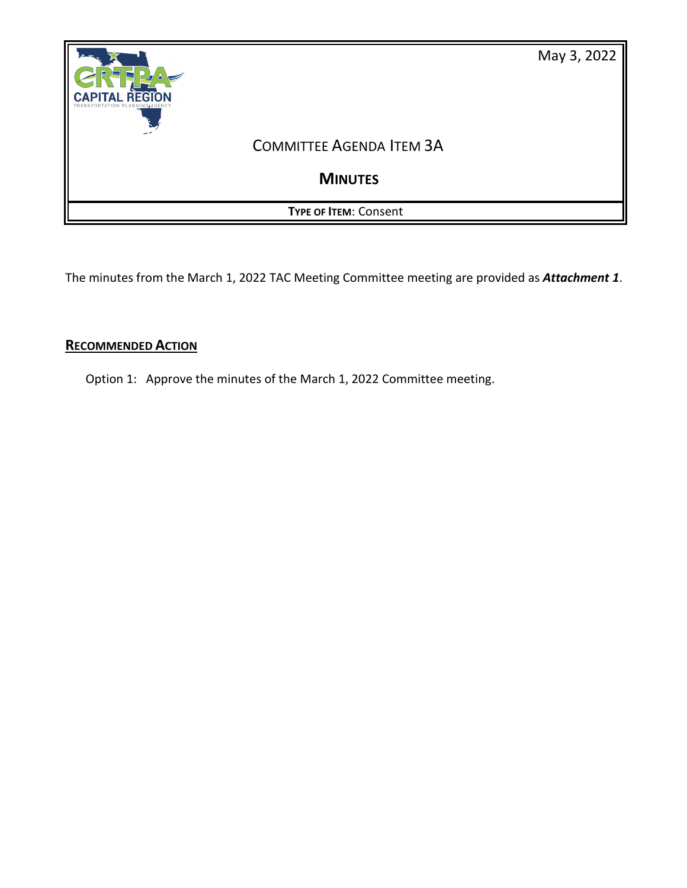

The minutes from the March 1, 2022 TAC Meeting Committee meeting are provided as *Attachment 1*.

# **RECOMMENDED ACTION**

Option 1: Approve the minutes of the March 1, 2022 Committee meeting.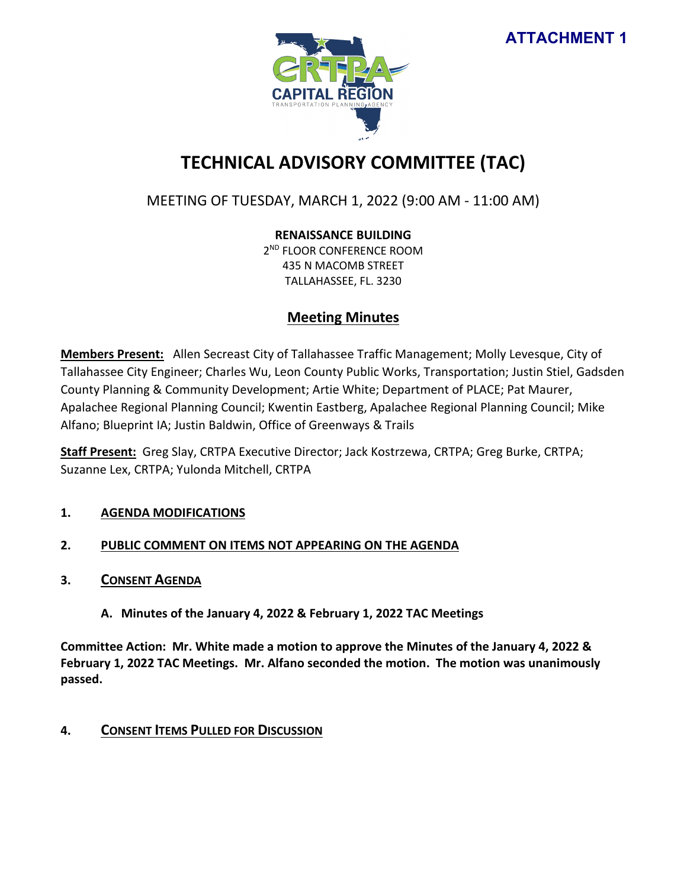

# **TECHNICAL ADVISORY COMMITTEE (TAC)**

# MEETING OF TUESDAY, MARCH 1, 2022 (9:00 AM - 11:00 AM)

# **RENAISSANCE BUILDING**

2<sup>ND</sup> FLOOR CONFERENCE ROOM 435 N MACOMB STREET TALLAHASSEE, FL. 3230

# **Meeting Minutes**

**Members Present:** Allen Secreast City of Tallahassee Traffic Management; Molly Levesque, City of Tallahassee City Engineer; Charles Wu, Leon County Public Works, Transportation; Justin Stiel, Gadsden County Planning & Community Development; Artie White; Department of PLACE; Pat Maurer, Apalachee Regional Planning Council; Kwentin Eastberg, Apalachee Regional Planning Council; Mike Alfano; Blueprint IA; Justin Baldwin, Office of Greenways & Trails

**Staff Present:** Greg Slay, CRTPA Executive Director; Jack Kostrzewa, CRTPA; Greg Burke, CRTPA; Suzanne Lex, CRTPA; Yulonda Mitchell, CRTPA

# **1. AGENDA MODIFICATIONS**

# **2. PUBLIC COMMENT ON ITEMS NOT APPEARING ON THE AGENDA**

**3. CONSENT AGENDA**

# **A. Minutes of the January 4, 2022 & February 1, 2022 TAC Meetings**

**Committee Action: Mr. White made a motion to approve the Minutes of the January 4, 2022 & February 1, 2022 TAC Meetings. Mr. Alfano seconded the motion. The motion was unanimously passed.** 

# **4. CONSENT ITEMS PULLED FOR DISCUSSION**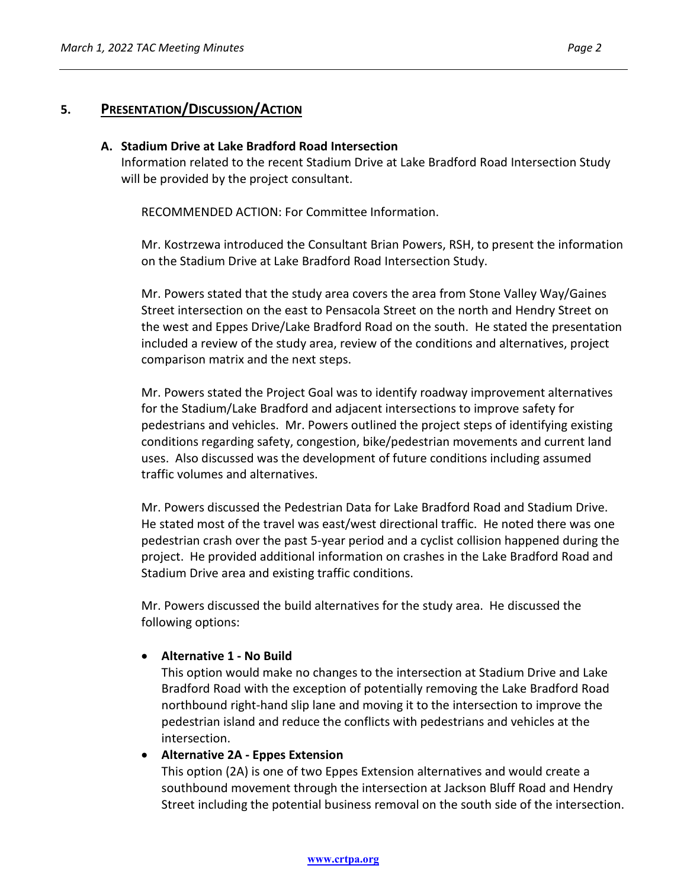### **5. PRESENTATION/DISCUSSION/ACTION**

#### **A. Stadium Drive at Lake Bradford Road Intersection**

Information related to the recent Stadium Drive at Lake Bradford Road Intersection Study will be provided by the project consultant.

RECOMMENDED ACTION: For Committee Information.

Mr. Kostrzewa introduced the Consultant Brian Powers, RSH, to present the information on the Stadium Drive at Lake Bradford Road Intersection Study.

Mr. Powers stated that the study area covers the area from Stone Valley Way/Gaines Street intersection on the east to Pensacola Street on the north and Hendry Street on the west and Eppes Drive/Lake Bradford Road on the south. He stated the presentation included a review of the study area, review of the conditions and alternatives, project comparison matrix and the next steps.

Mr. Powers stated the Project Goal was to identify roadway improvement alternatives for the Stadium/Lake Bradford and adjacent intersections to improve safety for pedestrians and vehicles. Mr. Powers outlined the project steps of identifying existing conditions regarding safety, congestion, bike/pedestrian movements and current land uses. Also discussed was the development of future conditions including assumed traffic volumes and alternatives.

Mr. Powers discussed the Pedestrian Data for Lake Bradford Road and Stadium Drive. He stated most of the travel was east/west directional traffic. He noted there was one pedestrian crash over the past 5-year period and a cyclist collision happened during the project. He provided additional information on crashes in the Lake Bradford Road and Stadium Drive area and existing traffic conditions.

Mr. Powers discussed the build alternatives for the study area. He discussed the following options:

#### • **Alternative 1 - No Build**

This option would make no changes to the intersection at Stadium Drive and Lake Bradford Road with the exception of potentially removing the Lake Bradford Road northbound right-hand slip lane and moving it to the intersection to improve the pedestrian island and reduce the conflicts with pedestrians and vehicles at the intersection.

#### • **Alternative 2A - Eppes Extension**

This option (2A) is one of two Eppes Extension alternatives and would create a southbound movement through the intersection at Jackson Bluff Road and Hendry Street including the potential business removal on the south side of the intersection.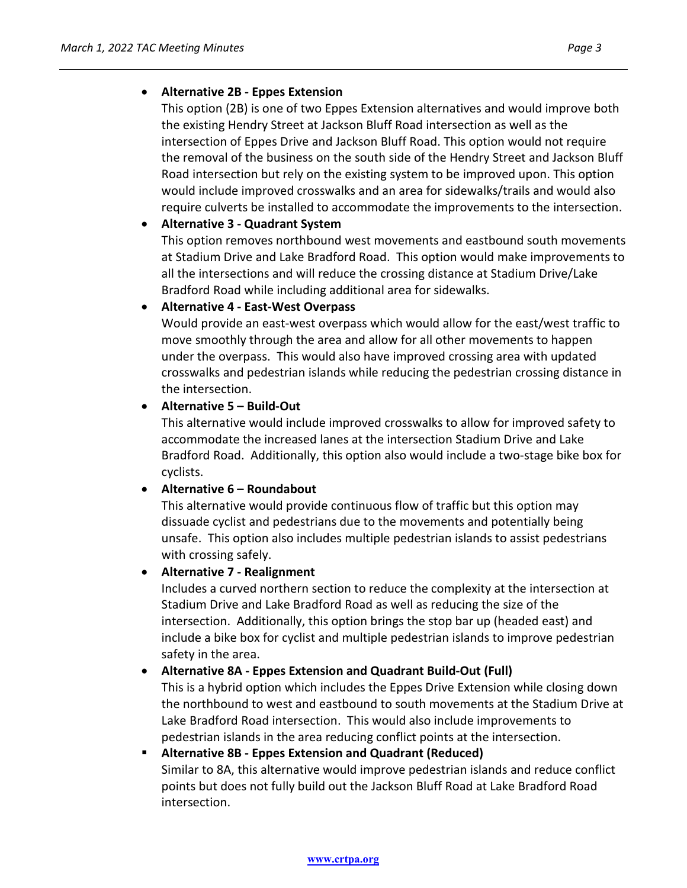This option (2B) is one of two Eppes Extension alternatives and would improve both the existing Hendry Street at Jackson Bluff Road intersection as well as the intersection of Eppes Drive and Jackson Bluff Road. This option would not require the removal of the business on the south side of the Hendry Street and Jackson Bluff Road intersection but rely on the existing system to be improved upon. This option would include improved crosswalks and an area for sidewalks/trails and would also require culverts be installed to accommodate the improvements to the intersection.

### • **Alternative 3 - Quadrant System**

This option removes northbound west movements and eastbound south movements at Stadium Drive and Lake Bradford Road. This option would make improvements to all the intersections and will reduce the crossing distance at Stadium Drive/Lake Bradford Road while including additional area for sidewalks.

### • **Alternative 4 - East-West Overpass**

Would provide an east-west overpass which would allow for the east/west traffic to move smoothly through the area and allow for all other movements to happen under the overpass. This would also have improved crossing area with updated crosswalks and pedestrian islands while reducing the pedestrian crossing distance in the intersection.

### • **Alternative 5 – Build-Out**

This alternative would include improved crosswalks to allow for improved safety to accommodate the increased lanes at the intersection Stadium Drive and Lake Bradford Road. Additionally, this option also would include a two-stage bike box for cyclists.

#### • **Alternative 6 – Roundabout**

This alternative would provide continuous flow of traffic but this option may dissuade cyclist and pedestrians due to the movements and potentially being unsafe. This option also includes multiple pedestrian islands to assist pedestrians with crossing safely.

#### • **Alternative 7 - Realignment**

Includes a curved northern section to reduce the complexity at the intersection at Stadium Drive and Lake Bradford Road as well as reducing the size of the intersection. Additionally, this option brings the stop bar up (headed east) and include a bike box for cyclist and multiple pedestrian islands to improve pedestrian safety in the area.

# • **Alternative 8A - Eppes Extension and Quadrant Build-Out (Full)**

This is a hybrid option which includes the Eppes Drive Extension while closing down the northbound to west and eastbound to south movements at the Stadium Drive at Lake Bradford Road intersection. This would also include improvements to pedestrian islands in the area reducing conflict points at the intersection.

# **Alternative 8B - Eppes Extension and Quadrant (Reduced)** Similar to 8A, this alternative would improve pedestrian islands and reduce conflict points but does not fully build out the Jackson Bluff Road at Lake Bradford Road intersection.